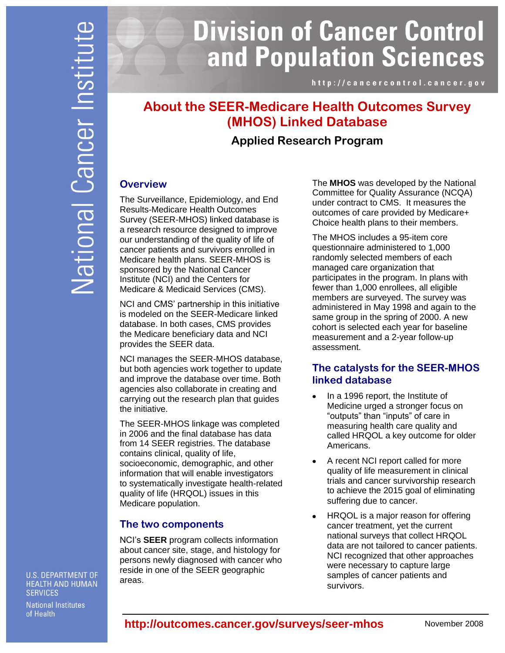# **Division of Cancer Control** and Population Sciences

http://cancercontrol.cancer.gov

# **About the SEER-Medicare Health Outcomes Survey (MHOS) Linked Database**

# **Applied Research Program**

#### **Overview**

The Surveillance, Epidemiology, and End Results-Medicare Health Outcomes Survey (SEER-MHOS) linked database is a research resource designed to improve our understanding of the quality of life of cancer patients and survivors enrolled in Medicare health plans. SEER-MHOS is sponsored by the National Cancer Institute (NCI) and the Centers for Medicare & Medicaid Services (CMS).

NCI and CMS' partnership in this initiative is modeled on the SEER-Medicare linked database. In both cases, CMS provides the Medicare beneficiary data and NCI provides the SEER data.

NCI manages the SEER-MHOS database, but both agencies work together to update and improve the database over time. Both agencies also collaborate in creating and carrying out the research plan that guides the initiative.

The SEER-MHOS linkage was completed in 2006 and the final database has data from 14 SEER registries. The database contains clinical, quality of life, socioeconomic, demographic, and other information that will enable investigators to systematically investigate health-related quality of life (HRQOL) issues in this Medicare population.

## **The two components**

NCI's **SEER** program collects information about cancer site, stage, and histology for persons newly diagnosed with cancer who reside in one of the SEER geographic areas.

The **MHOS** was developed by the National Committee for Quality Assurance (NCQA) under contract to CMS. It measures the outcomes of care provided by Medicare+ Choice health plans to their members.

The MHOS includes a 95-item core questionnaire administered to 1,000 randomly selected members of each managed care organization that participates in the program. In plans with fewer than 1,000 enrollees, all eligible members are surveyed. The survey was administered in May 1998 and again to the same group in the spring of 2000. A new cohort is selected each year for baseline measurement and a 2-year follow-up assessment.

## **The catalysts for the SEER-MHOS linked database**

- In a 1996 report, the Institute of  $\bullet$ Medicine urged a stronger focus on "outputs" than "inputs" of care in measuring health care quality and called HRQOL a key outcome for older Americans.
- A recent NCI report called for more quality of life measurement in clinical trials and cancer survivorship research to achieve the 2015 goal of eliminating suffering due to cancer.
- HRQOL is a major reason for offering  $\bullet$ cancer treatment, yet the current national surveys that collect HRQOL data are not tailored to cancer patients. NCI recognized that other approaches were necessary to capture large samples of cancer patients and survivors.

**U.S. DEPARTMENT OF HEALTH AND HUMAN SERVICES** 

**National Institutes** of Health